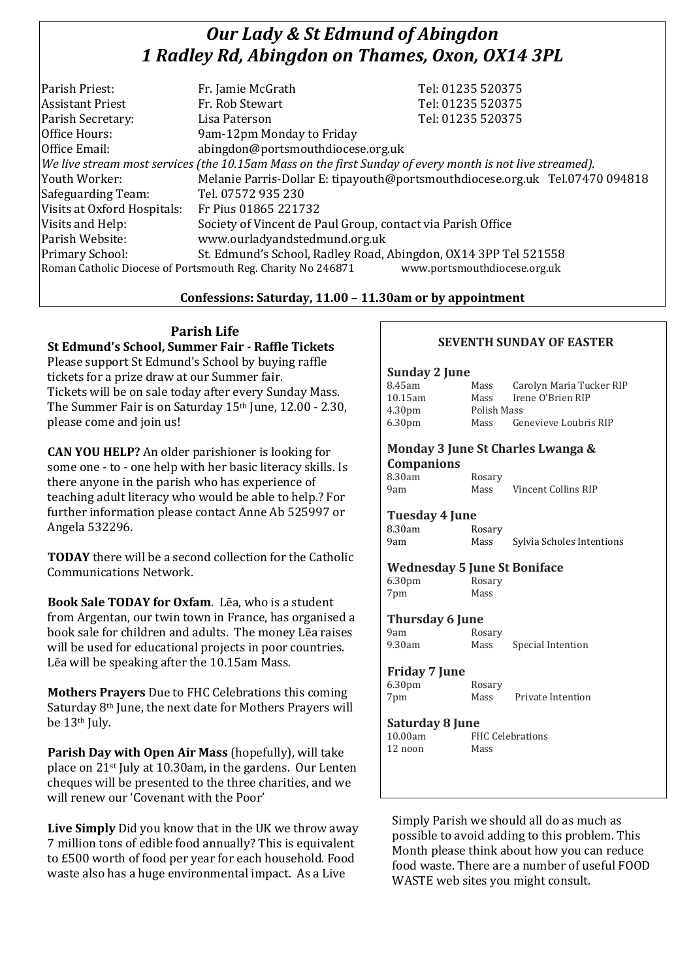# *Our Lady & St Edmund of Abingdon 1 Radley Rd, Abingdon on Thames, Oxon, OX14 3PL*

| Parish Priest:                                                                              | Fr. Jamie McGrath                                                                                        | Tel: 01235 520375                                                            |  |
|---------------------------------------------------------------------------------------------|----------------------------------------------------------------------------------------------------------|------------------------------------------------------------------------------|--|
| <b>Assistant Priest</b>                                                                     | Fr. Rob Stewart                                                                                          | Tel: 01235 520375                                                            |  |
| Parish Secretary:                                                                           | Lisa Paterson                                                                                            | Tel: 01235 520375                                                            |  |
| Office Hours:                                                                               | 9am-12pm Monday to Friday                                                                                |                                                                              |  |
| Office Email:                                                                               | abingdon@portsmouthdiocese.org.uk                                                                        |                                                                              |  |
|                                                                                             | We live stream most services (the 10.15am Mass on the first Sunday of every month is not live streamed). |                                                                              |  |
| Youth Worker:                                                                               |                                                                                                          | Melanie Parris-Dollar E: tipayouth@portsmouthdiocese.org.uk Tel.07470 094818 |  |
| Safeguarding Team:                                                                          | Tel. 07572 935 230                                                                                       |                                                                              |  |
| Visits at Oxford Hospitals:                                                                 | Fr Pius 01865 221732                                                                                     |                                                                              |  |
| Visits and Help:                                                                            | Society of Vincent de Paul Group, contact via Parish Office                                              |                                                                              |  |
| Parish Website:                                                                             | www.ourladyandstedmund.org.uk                                                                            |                                                                              |  |
| Primary School:                                                                             | St. Edmund's School, Radley Road, Abingdon, OX14 3PP Tel 521558                                          |                                                                              |  |
| Roman Catholic Diocese of Portsmouth Reg. Charity No 246871<br>www.portsmouthdiocese.org.uk |                                                                                                          |                                                                              |  |
|                                                                                             |                                                                                                          |                                                                              |  |

## **Confessions: Saturday, 11.00 – 11.30am or by appointment**

## **Parish Life**

**St Edmund's School, Summer Fair - Raffle Tickets** Please support St Edmund's School by buying raffle tickets for a prize draw at our Summer fair. Tickets will be on sale today after every Sunday Mass. The Summer Fair is on Saturday 15<sup>th</sup> June, 12.00 - 2.30, please come and join us!

**CAN YOU HELP?** An older parishioner is looking for some one - to - one help with her basic literacy skills. Is there anyone in the parish who has experience of teaching adult literacy who would be able to help.? For further information please contact Anne Ab 525997 or Angela 532296.

**TODAY** there will be a second collection for the Catholic Communications Network.

**Book Sale TODAY for Oxfam**. Lẽa, who is a student from Argentan, our twin town in France, has organised a book sale for children and adults. The money Lẽa raises will be used for educational projects in poor countries. Lẽa will be speaking after the 10.15am Mass.

**Mothers Prayers** Due to FHC Celebrations this coming Saturday 8th June, the next date for Mothers Prayers will be 13th July.

**Parish Day with Open Air Mass** (hopefully), will take place on 21st July at 10.30am, in the gardens. Our Lenten cheques will be presented to the three charities, and we will renew our 'Covenant with the Poor'

**Live Simply** Did you know that in the UK we throw away 7 million tons of edible food annually? This is equivalent to £500 worth of food per year for each household. Food waste also has a huge environmental impact. As a Live

## **SEVENTH SUNDAY OF EASTER**

#### **Sunday 2 June**

| Monday 3 June St Charles Lwanga & |             |                          |  |  |  |
|-----------------------------------|-------------|--------------------------|--|--|--|
| 6.30 <sub>pm</sub>                | Mass        | Genevieve Loubris RIP    |  |  |  |
| 4.30 <sub>pm</sub>                | Polish Mass |                          |  |  |  |
| 10.15am                           | Mass        | Irene O'Brien RIP        |  |  |  |
| 8.45am                            | Mass        | Carolyn Maria Tucker RIP |  |  |  |

#### **Companions** 8.30am Rosary

| ------------ | ------- |                     |  |  |
|--------------|---------|---------------------|--|--|
| 9am          | Mass    | Vincent Collins RIP |  |  |
|              |         |                     |  |  |

**Tuesday 4 June** 8.30am Rosary

9am Mass Sylvia Scholes Intentions

| <b>Wednesday 5 June St Boniface</b> |  |  |
|-------------------------------------|--|--|
|                                     |  |  |

| 6.30 <sub>pm</sub> | Rosary |
|--------------------|--------|
| 7pm                | Mass   |

## **Thursday 6 June**

9am Rosary<br>9.30am Mass

Mass Special Intention

#### **Friday 7 June**

6.30pm Rosary 7pm Mass Private Intention

#### **Saturday 8 June**

10.00am FHC Celebrations 12 noon Mass

Simply Parish we should all do as much as possible to avoid adding to this problem. This Month please think about how you can reduce food waste. There are a number of useful FOOD WASTE web sites you might consult.